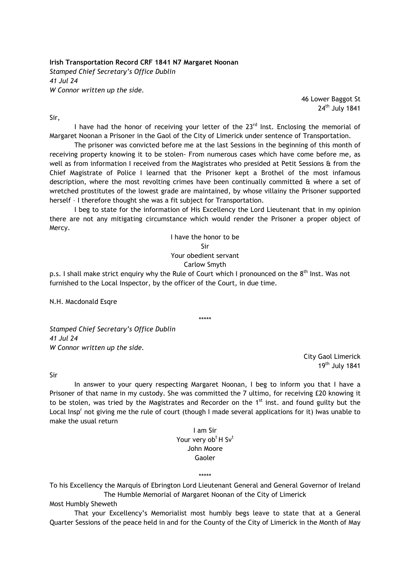Irish Transportation Record CRF 1841 N7 Margaret Noonan Stamped Chief Secretary's Office Dublin 41 Jul 24 W Connor written up the side.

> 46 Lower Baggot St  $24<sup>th</sup>$  July 1841

Sir,

I have had the honor of receiving your letter of the 23<sup>rd</sup> Inst. Enclosing the memorial of Margaret Noonan a Prisoner in the Gaol of the City of Limerick under sentence of Transportation.

 The prisoner was convicted before me at the last Sessions in the beginning of this month of receiving property knowing it to be stolen- From numerous cases which have come before me, as well as from information I received from the Magistrates who presided at Petit Sessions & from the Chief Magistrate of Police I learned that the Prisoner kept a Brothel of the most infamous description, where the most revolting crimes have been continually committed & where a set of wretched prostitutes of the lowest grade are maintained, by whose villainy the Prisoner supported herself – I therefore thought she was a fit subject for Transportation.

 I beg to state for the information of His Excellency the Lord Lieutenant that in my opinion there are not any mitigating circumstance which would render the Prisoner a proper object of Mercy.

> I have the honor to be Sir Your obedient servant Carlow Smyth

p.s. I shall make strict enquiry why the Rule of Court which I pronounced on the 8<sup>th</sup> Inst. Was not furnished to the Local Inspector, by the officer of the Court, in due time.

N.H. Macdonald Esgre

\*\*\*\*\*

Stamped Chief Secretary's Office Dublin 41 Jul 24 W Connor written up the side.

> City Gaol Limerick 19th July 1841

Sir

 In answer to your query respecting Margaret Noonan, I beg to inform you that I have a Prisoner of that name in my custody. She was committed the 7 ultimo, for receiving £20 knowing it to be stolen, was tried by the Magistrates and Recorder on the 1<sup>st</sup> inst. and found guilty but the Local Insp<sup>r</sup> not giving me the rule of court (though I made several applications for it) Iwas unable to make the usual return

> I am Sir Your very ob<sup>t</sup> H Sv<sup>t</sup> John Moore Gaoler

> > \*\*\*\*\*

To his Excellency the Marquis of Ebrington Lord Lieutenant General and General Governor of Ireland The Humble Memorial of Margaret Noonan of the City of Limerick

Most Humbly Sheweth

 That your Excellency's Memorialist most humbly begs leave to state that at a General Quarter Sessions of the peace held in and for the County of the City of Limerick in the Month of May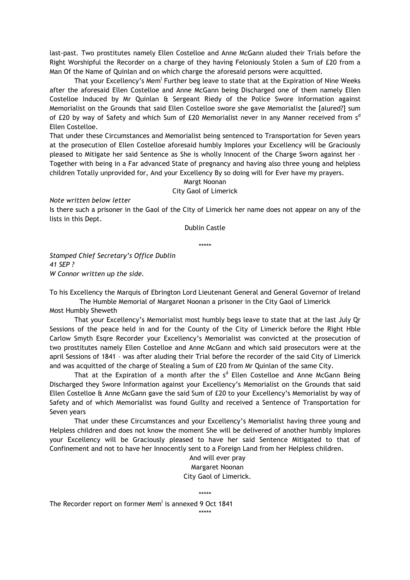last-past. Two prostitutes namely Ellen Costelloe and Anne McGann aluded their Trials before the Right Worshipful the Recorder on a charge of they having Feloniously Stolen a Sum of £20 from a Man Of the Name of Quinlan and on which charge the aforesaid persons were acquitted.

That your Excellency's Mem<sup>l</sup> Further beg leave to state that at the Expiration of Nine Weeks after the aforesaid Ellen Costelloe and Anne McGann being Discharged one of them namely Ellen Costelloe Induced by Mr Quinlan & Sergeant Riedy of the Police Swore Information against Memorialist on the Grounds that said Ellen Costelloe swore she gave Memorialist the [alured?] sum of £20 by way of Safety and which Sum of £20 Memorialist never in any Manner received from  $s<sup>d</sup>$ Ellen Costelloe.

That under these Circumstances and Memorialist being sentenced to Transportation for Seven years at the prosecution of Ellen Costelloe aforesaid humbly Implores your Excellency will be Graciously pleased to Mitigate her said Sentence as She is wholly Innocent of the Charge Sworn against her – Together with being in a Far advanced State of pregnancy and having also three young and helpless children Totally unprovided for, And your Excellency By so doing will for Ever have my prayers.

> Margt Noonan City Gaol of Limerick

Note written below letter

Is there such a prisoner in the Gaol of the City of Limerick her name does not appear on any of the lists in this Dept.

Dublin Castle

\*\*\*\*\*

Stamped Chief Secretary's Office Dublin 41 SEP ? W Connor written up the side.

To his Excellency the Marquis of Ebrington Lord Lieutenant General and General Governor of Ireland The Humble Memorial of Margaret Noonan a prisoner in the City Gaol of Limerick

Most Humbly Sheweth

 That your Excellency's Memorialist most humbly begs leave to state that at the last July Qr Sessions of the peace held in and for the County of the City of Limerick before the Right Hble Carlow Smyth Esqre Recorder your Excellency's Memorialist was convicted at the prosecution of two prostitutes namely Ellen Costelloe and Anne McGann and which said prosecutors were at the april Sessions of 1841 – was after aluding their Trial before the recorder of the said City of Limerick and was acquitted of the charge of Stealing a Sum of £20 from Mr Quinlan of the same City.

That at the Expiration of a month after the s<sup>d</sup> Ellen Costelloe and Anne McGann Being Discharged they Swore Information against your Excellency's Memorialist on the Grounds that said Ellen Costelloe & Anne McGann gave the said Sum of £20 to your Excellency's Memorialist by way of Safety and of which Memorialist was found Guilty and received a Sentence of Transportation for Seven years

That under these Circumstances and your Excellency's Memorialist having three young and Helpless children and does not know the moment She will be delivered of another humbly Implores your Excellency will be Graciously pleased to have her said Sentence Mitigated to that of Confinement and not to have her Innocently sent to a Foreign Land from her Helpless children.

> And will ever pray Margaret Noonan City Gaol of Limerick.

> > \*\*\*\*\*

The Recorder report on former Mem<sup>l</sup> is annexed 9 Oct 1841

\*\*\*\*\*